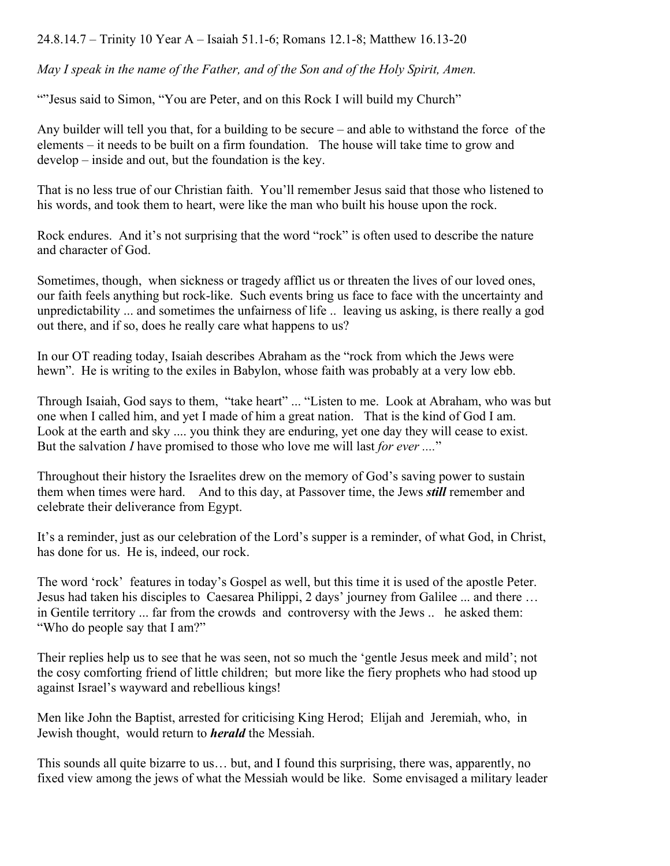24.8.14.7 – Trinity 10 Year A – Isaiah 51.1-6; Romans 12.1-8; Matthew 16.13-20

*May I speak in the name of the Father, and of the Son and of the Holy Spirit, Amen.*

""Jesus said to Simon, "You are Peter, and on this Rock I will build my Church"

Any builder will tell you that, for a building to be secure – and able to withstand the force of the elements – it needs to be built on a firm foundation. The house will take time to grow and develop – inside and out, but the foundation is the key.

That is no less true of our Christian faith. You'll remember Jesus said that those who listened to his words, and took them to heart, were like the man who built his house upon the rock.

Rock endures. And it's not surprising that the word "rock" is often used to describe the nature and character of God.

Sometimes, though, when sickness or tragedy afflict us or threaten the lives of our loved ones, our faith feels anything but rock-like. Such events bring us face to face with the uncertainty and unpredictability ... and sometimes the unfairness of life .. leaving us asking, is there really a god out there, and if so, does he really care what happens to us?

In our OT reading today, Isaiah describes Abraham as the "rock from which the Jews were hewn". He is writing to the exiles in Babylon, whose faith was probably at a very low ebb.

Through Isaiah, God says to them, "take heart" ... "Listen to me. Look at Abraham, who was but one when I called him, and yet I made of him a great nation. That is the kind of God I am. Look at the earth and sky .... you think they are enduring, yet one day they will cease to exist. But the salvation *I* have promised to those who love me will last *for ever ....*"

Throughout their history the Israelites drew on the memory of God's saving power to sustain them when times were hard. And to this day, at Passover time, the Jews *still* remember and celebrate their deliverance from Egypt.

It's a reminder, just as our celebration of the Lord's supper is a reminder, of what God, in Christ, has done for us. He is, indeed, our rock.

The word 'rock' features in today's Gospel as well, but this time it is used of the apostle Peter. Jesus had taken his disciples to Caesarea Philippi, 2 days' journey from Galilee ... and there … in Gentile territory ... far from the crowds and controversy with the Jews .. he asked them: "Who do people say that I am?"

Their replies help us to see that he was seen, not so much the 'gentle Jesus meek and mild'; not the cosy comforting friend of little children; but more like the fiery prophets who had stood up against Israel's wayward and rebellious kings!

Men like John the Baptist, arrested for criticising King Herod; Elijah and Jeremiah, who, in Jewish thought, would return to *herald* the Messiah.

This sounds all quite bizarre to us… but, and I found this surprising, there was, apparently, no fixed view among the jews of what the Messiah would be like. Some envisaged a military leader